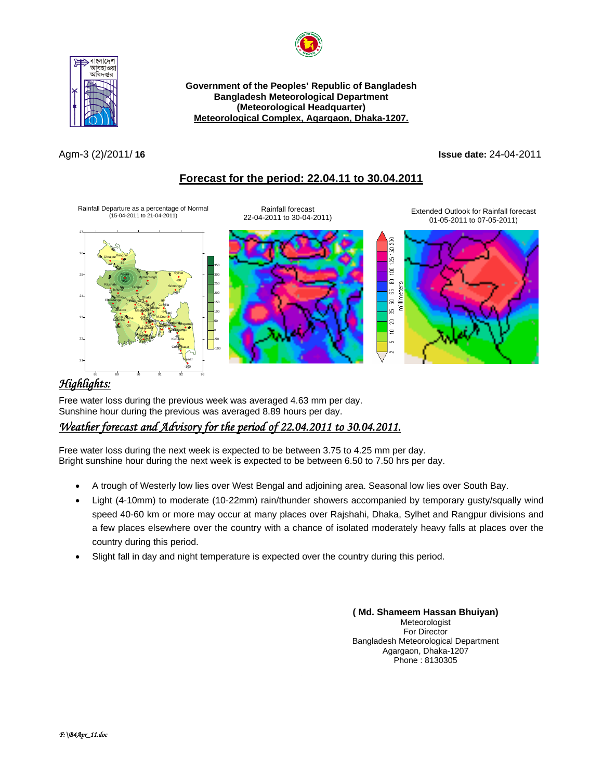



**Government of the Peoples' Republic of Bangladesh Bangladesh Meteorological Department (Meteorological Headquarter) Meteorological Complex, Agargaon, Dhaka-1207.**

### Agm-3 (2)/2011/ **16 Issue date:** 24-04-2011

# **Forecast for the period: 22.04.11 to 30.04.2011**



# <sup>U</sup>*Highlights:*

Free water loss during the previous week was averaged 4.63 mm per day. Sunshine hour during the previous was averaged 8.89 hours per day.

# <sup>U</sup>*Weather forecast and Advisory for the period of 22.04.2011 to 30.04.2011.*

Free water loss during the next week is expected to be between 3.75 to 4.25 mm per day. Bright sunshine hour during the next week is expected to be between 6.50 to 7.50 hrs per day.

- A trough of Westerly low lies over West Bengal and adjoining area. Seasonal low lies over South Bay.
- Light (4-10mm) to moderate (10-22mm) rain/thunder showers accompanied by temporary gusty/squally wind speed 40-60 km or more may occur at many places over Rajshahi, Dhaka, Sylhet and Rangpur divisions and a few places elsewhere over the country with a chance of isolated moderately heavy falls at places over the country during this period.
- Slight fall in day and night temperature is expected over the country during this period.

#### **( Md. Shameem Hassan Bhuiyan)** Meteorologist For Director Bangladesh Meteorological Department Agargaon, Dhaka-1207 Phone : 8130305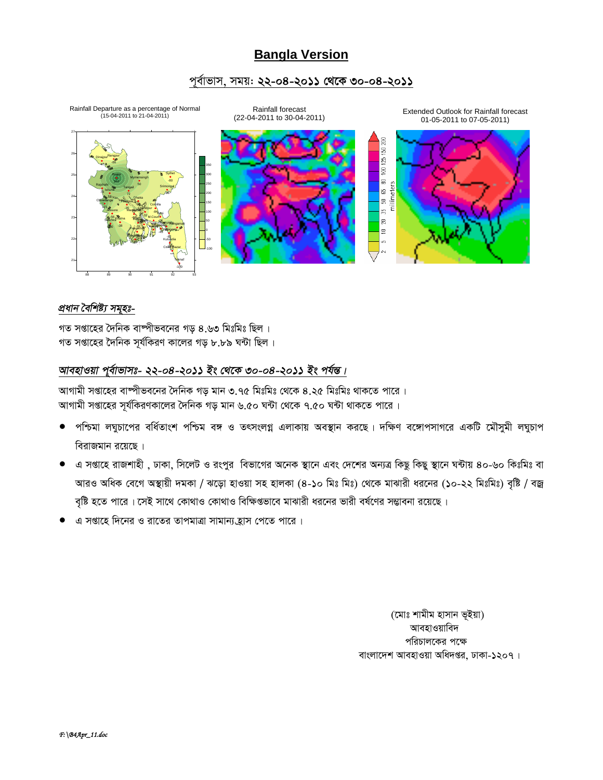# **Bangla Version**

## পূর্বাভাস, সময়: **২২-০৪-২০১১ থেকে ৩০-০৪-২০১১**



### *প্ৰধান বৈশিষ্ট্য সমুহঃ-*

গত সপ্তাহের দৈনিক বাম্পীভবনের গড় ৪.৬৩ মিঃমিঃ ছিল। গত সপ্তাহের দৈনিক সর্যকিরণ কালের গড ৮.৮৯ ঘন্টা ছিল**।** 

### *আবহাওয়া প্*ৰ্বাভাসঃ- ২২-০৪-২০১১ ইং থেকে ৩০-০৪-২০১১ ইং পৰ্যন্ত।

আগামী সপ্তাহের বাষ্পীভবনের দৈনিক গড় মান ৩.৭৫ মিঃমিঃ থেকে ৪.২৫ মিঃমিঃ থাকতে পারে । আগামী সপ্তাহের সূর্যকিরণকালের দৈনিক গড় মান ৬.৫০ ঘন্টা থেকে ৭.৫০ ঘন্টা থাকতে পারে ।

- পশ্চিমা লঘুচাপের বর্ধিতাংশ পশ্চিম বঙ্গ ও তৎসংলগ্ন এলাকায় অবস্থান করছে। দক্ষিণ বঙ্গোপসাগরে একটি মৌসুমী লঘুচাপ বিরাজমান রয়েছে ।
- এ সপ্তাহে রাজশাহী , ঢাকা, সিলেট ও রংপুর বিভাগের অনেক স্থানে এবং দেশের অন্যত্র কিছু কিছু স্থানে ঘন্টায় ৪০-৬০ কিঃমিঃ বা আরও অধিক বেগে অস্থায়ী দমকা / ঝড়ো হাওয়া সহ হালকা (৪-১০ মিঃ মিঃ) থেকে মাঝারী ধরনের (১০-২২ মিঃমিঃ) বৃষ্টি / বজ্র বৃষ্টি হতে পারে। সেই সাথে কোথাও কোথাও বিক্ষিগুভাবে মাঝারী ধরনের ভারী বর্ষণের সম্ভাবনা রয়েছে।
- এ সপ্তাহে দিনের ও রাতের তাপমাত্রা সামান্য হ্রাস পেতে পারে ।

(মোঃ শামীম হাসান ভূইয়া) আবহাওয়াবিদ পরিচালকের পক্ষে বাংলাদেশ আবহাওয়া অধিদপ্তর, ঢাকা-১২০৭।